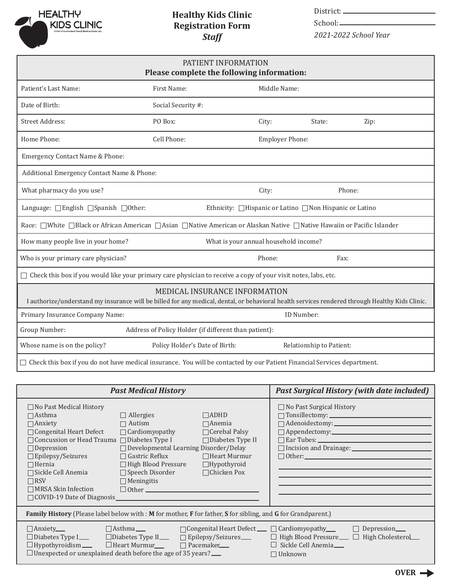

## **Healthy Kids Clinic Registration Form** *Staff*

District:

School:-

*2021-2022 School Year*

| PATIENT INFORMATION<br>Please complete the following information:                                                                                                                |                                |              |                          |                                                   |  |
|----------------------------------------------------------------------------------------------------------------------------------------------------------------------------------|--------------------------------|--------------|--------------------------|---------------------------------------------------|--|
| Patient's Last Name:                                                                                                                                                             | First Name:                    | Middle Name: |                          |                                                   |  |
| Date of Birth:                                                                                                                                                                   | Social Security #:             |              |                          |                                                   |  |
| <b>Street Address:</b>                                                                                                                                                           | PO Box:                        | City:        | State:                   | Zip:                                              |  |
| Home Phone:                                                                                                                                                                      | Cell Phone:                    |              | Employer Phone:          |                                                   |  |
| Emergency Contact Name & Phone:                                                                                                                                                  |                                |              |                          |                                                   |  |
| Additional Emergency Contact Name & Phone:                                                                                                                                       |                                |              |                          |                                                   |  |
| What pharmacy do you use?                                                                                                                                                        |                                | City:        |                          | Phone:                                            |  |
| Language: □ English □ Spanish □ Other:<br>Ethnicity: □Hispanic or Latino □Non Hispanic or Latino                                                                                 |                                |              |                          |                                                   |  |
| Race: □White □Black or African American □Asian □Native American or Alaskan Native □Native Hawaiin or Pacific Islander                                                            |                                |              |                          |                                                   |  |
| How many people live in your home?<br>What is your annual household income?                                                                                                      |                                |              |                          |                                                   |  |
| Who is your primary care physician?                                                                                                                                              |                                | Phone:       | Fax:                     |                                                   |  |
| $\Box$ Check this box if you would like your primary care physician to receive a copy of your visit notes, labs, etc.                                                            |                                |              |                          |                                                   |  |
| MEDICAL INSURANCE INFORMATION<br>I authorize/understand my insurance will be billed for any medical, dental, or behavioral health services rendered through Healthy Kids Clinic. |                                |              |                          |                                                   |  |
| Primary Insurance Company Name:<br>ID Number:                                                                                                                                    |                                |              |                          |                                                   |  |
| Group Number:<br>Address of Policy Holder (if different than patient):                                                                                                           |                                |              |                          |                                                   |  |
| Whose name is on the policy?                                                                                                                                                     | Policy Holder's Date of Birth: |              | Relationship to Patient: |                                                   |  |
| □ Check this box if you do not have medical insurance. You will be contacted by our Patient Financial Services department.                                                       |                                |              |                          |                                                   |  |
|                                                                                                                                                                                  | <b>Past Medical History</b>    |              |                          | <b>Past Surgical History (with date included)</b> |  |

| <b>Past Medical History</b>                                                                                                                                                                                                                                                                                                                                                                                                                                                                                                                                                                                                                                                                                                                     | Past Surgical History (with date included)                                                                                       |  |  |  |  |
|-------------------------------------------------------------------------------------------------------------------------------------------------------------------------------------------------------------------------------------------------------------------------------------------------------------------------------------------------------------------------------------------------------------------------------------------------------------------------------------------------------------------------------------------------------------------------------------------------------------------------------------------------------------------------------------------------------------------------------------------------|----------------------------------------------------------------------------------------------------------------------------------|--|--|--|--|
| $\Box$ No Past Medical History<br>$\Box$ Allergies<br>$\Box$ ADHD<br>$\Box$ Asthma<br>$\Box$ Anemia<br>$\Box$ Anxiety<br>$\Box$ Autism<br>$\Box$ Cardiomyopathy<br>$\Box$ Congenital Heart Defect<br>$\Box$ Cerebal Palsy<br>$\Box$ Concussion or Head Trauma $\Box$ Diabetes Type I<br>$\Box$ Diabetes Type II<br>$\Box$ Developmental Learning Disorder/Delay<br>$\Box$ Depression<br>$\Box$ Gastric Reflux<br>$\Box$ Epilepsy/Seizures<br>$\Box$ Heart Murmur<br>$\Box$ High Blood Pressure<br>$\Box$ Hypothyroid<br>$\Box$ Hernia<br>$\Box$ Speech Disorder<br>$\Box$ Chicken Pox<br>$\Box$ Sickle Cell Anemia<br>$\Box$ Meningitis<br>$\Box$ RSV<br>$\Box$ MRSA Skin Infection<br>$\Box$ Other $\Box$<br>$\Box$ COVID-19 Date of Diagnosis | $\Box$ No Past Surgical History<br>$\Box$ Tonsillectomy: $\Box$<br>$\Box$ Ear Tubes: $\Box$<br>$\Box$ Other: $\Box$              |  |  |  |  |
| Family History (Please label below with : M for mother, F for father, S for sibling, and G for Grandparent.)                                                                                                                                                                                                                                                                                                                                                                                                                                                                                                                                                                                                                                    |                                                                                                                                  |  |  |  |  |
| $\Box$ Congenital Heart Defect $\Box$ $\Box$ Cardiomyopathy $\Box$<br>$\Box$ Anxiety____<br>$\Box$ Asthma $\Box$<br>$\Box$ Diabetes Type II___ $\Box$ Epilepsy/Seizures __<br>$\Box$ Diabetes Type I___<br>$\Box$ Hypothyroidism $\Box$<br>$\Box$ Unexpected or unexplained death before the age of 35 years?                                                                                                                                                                                                                                                                                                                                                                                                                                   | $\Box$ Depression____<br>$\Box$ High Blood Pressure $\Box$ High Cholestero<br>$\Box$ Sickle Cell Anemia $\Box$<br>$\Box$ Unknown |  |  |  |  |